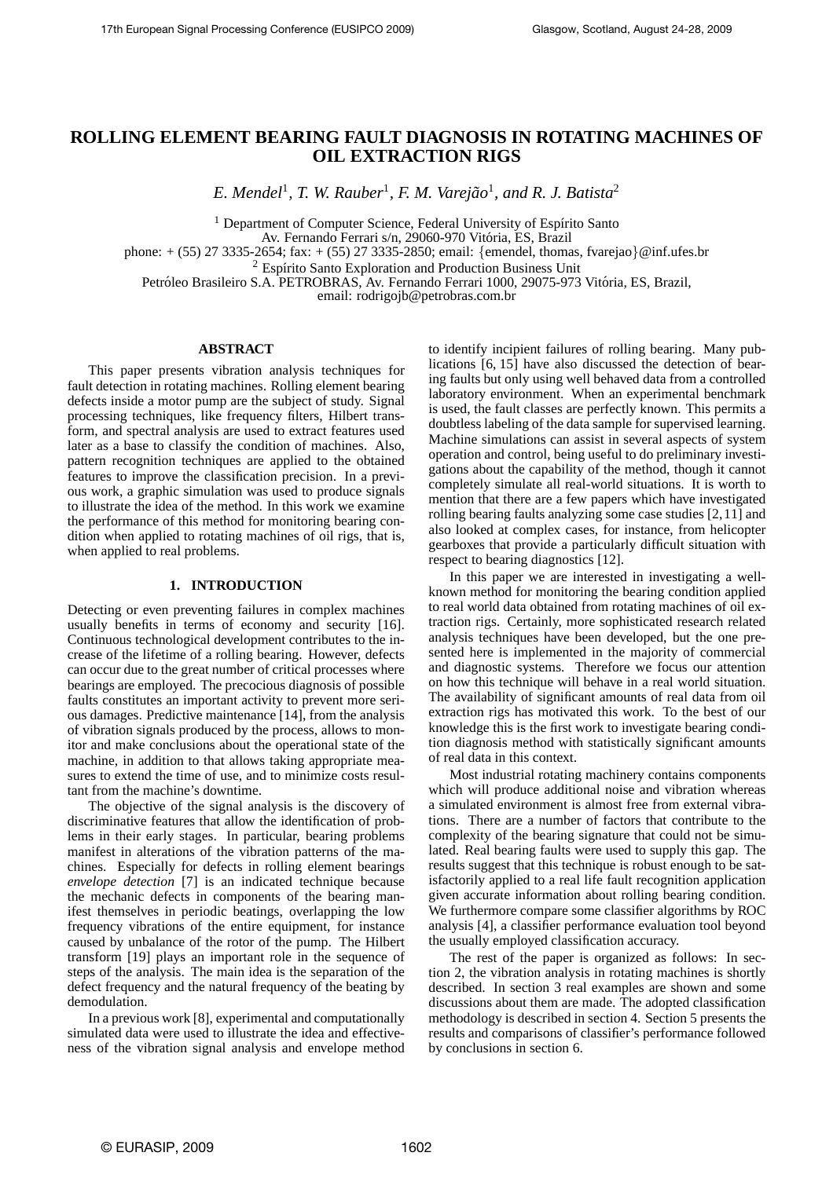# **ROLLING ELEMENT BEARING FAULT DIAGNOSIS IN ROTATING MACHINES OF OIL EXTRACTION RIGS**

E. Mendel<sup>1</sup>, T. W. Rauber<sup>1</sup>, F. M. Varejão<sup>1</sup>, and R. J. Batista<sup>2</sup>

<sup>1</sup> Department of Computer Science, Federal University of Espírito Santo

Av. Fernando Ferrari s/n, 29060-970 Vitoria, ES, Brazil ´

phone: + (55) 27 3335-2654; fax: + (55) 27 3335-2850; email: {emendel, thomas, fvarejao}@inf.ufes.br

 $2$  Espírito Santo Exploration and Production Business Unit

Petróleo Brasileiro S.A. PETROBRAS, Av. Fernando Ferrari 1000, 29075-973 Vitória, ES, Brazil,

email: rodrigojb@petrobras.com.br

# **ABSTRACT**

This paper presents vibration analysis techniques for fault detection in rotating machines. Rolling element bearing defects inside a motor pump are the subject of study. Signal processing techniques, like frequency filters, Hilbert transform, and spectral analysis are used to extract features used later as a base to classify the condition of machines. Also, pattern recognition techniques are applied to the obtained features to improve the classification precision. In a previous work, a graphic simulation was used to produce signals to illustrate the idea of the method. In this work we examine the performance of this method for monitoring bearing condition when applied to rotating machines of oil rigs, that is, when applied to real problems.

#### **1. INTRODUCTION**

Detecting or even preventing failures in complex machines usually benefits in terms of economy and security [16]. Continuous technological development contributes to the increase of the lifetime of a rolling bearing. However, defects can occur due to the great number of critical processes where bearings are employed. The precocious diagnosis of possible faults constitutes an important activity to prevent more serious damages. Predictive maintenance [14], from the analysis of vibration signals produced by the process, allows to monitor and make conclusions about the operational state of the machine, in addition to that allows taking appropriate measures to extend the time of use, and to minimize costs resultant from the machine's downtime.

The objective of the signal analysis is the discovery of discriminative features that allow the identification of problems in their early stages. In particular, bearing problems manifest in alterations of the vibration patterns of the machines. Especially for defects in rolling element bearings *envelope detection* [7] is an indicated technique because the mechanic defects in components of the bearing manifest themselves in periodic beatings, overlapping the low frequency vibrations of the entire equipment, for instance caused by unbalance of the rotor of the pump. The Hilbert transform [19] plays an important role in the sequence of steps of the analysis. The main idea is the separation of the defect frequency and the natural frequency of the beating by demodulation.

In a previous work [8], experimental and computationally simulated data were used to illustrate the idea and effectiveness of the vibration signal analysis and envelope method to identify incipient failures of rolling bearing. Many publications [6, 15] have also discussed the detection of bearing faults but only using well behaved data from a controlled laboratory environment. When an experimental benchmark is used, the fault classes are perfectly known. This permits a doubtless labeling of the data sample for supervised learning. Machine simulations can assist in several aspects of system operation and control, being useful to do preliminary investigations about the capability of the method, though it cannot completely simulate all real-world situations. It is worth to mention that there are a few papers which have investigated rolling bearing faults analyzing some case studies [2,11] and also looked at complex cases, for instance, from helicopter gearboxes that provide a particularly difficult situation with respect to bearing diagnostics [12].

In this paper we are interested in investigating a wellknown method for monitoring the bearing condition applied to real world data obtained from rotating machines of oil extraction rigs. Certainly, more sophisticated research related analysis techniques have been developed, but the one presented here is implemented in the majority of commercial and diagnostic systems. Therefore we focus our attention on how this technique will behave in a real world situation. The availability of significant amounts of real data from oil extraction rigs has motivated this work. To the best of our knowledge this is the first work to investigate bearing condition diagnosis method with statistically significant amounts of real data in this context.

Most industrial rotating machinery contains components which will produce additional noise and vibration whereas a simulated environment is almost free from external vibrations. There are a number of factors that contribute to the complexity of the bearing signature that could not be simulated. Real bearing faults were used to supply this gap. The results suggest that this technique is robust enough to be satisfactorily applied to a real life fault recognition application given accurate information about rolling bearing condition. We furthermore compare some classifier algorithms by ROC analysis [4], a classifier performance evaluation tool beyond the usually employed classification accuracy.

The rest of the paper is organized as follows: In section 2, the vibration analysis in rotating machines is shortly described. In section 3 real examples are shown and some discussions about them are made. The adopted classification methodology is described in section 4. Section 5 presents the results and comparisons of classifier's performance followed by conclusions in section 6.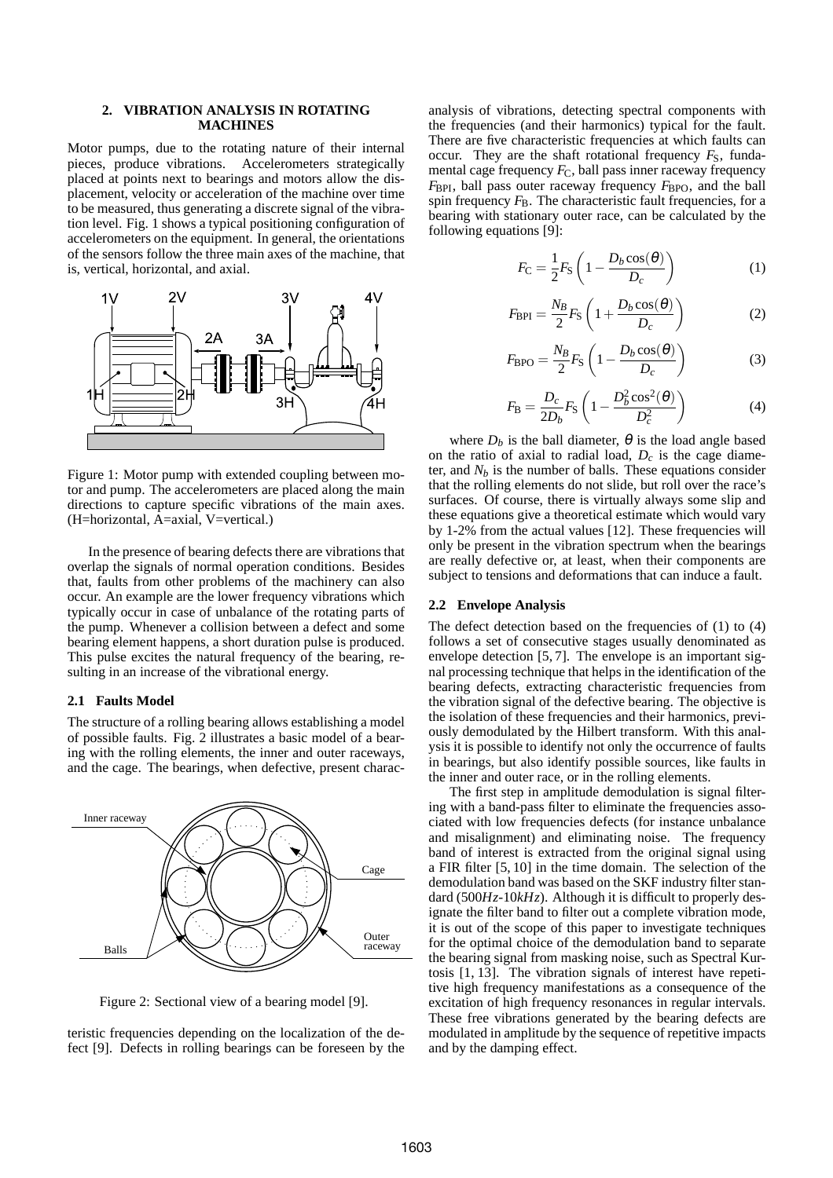# **2. VIBRATION ANALYSIS IN ROTATING MACHINES**

Motor pumps, due to the rotating nature of their internal pieces, produce vibrations. Accelerometers strategically placed at points next to bearings and motors allow the displacement, velocity or acceleration of the machine over time to be measured, thus generating a discrete signal of the vibration level. Fig. 1 shows a typical positioning configuration of accelerometers on the equipment. In general, the orientations of the sensors follow the three main axes of the machine, that is, vertical, horizontal, and axial.



Figure 1: Motor pump with extended coupling between motor and pump. The accelerometers are placed along the main directions to capture specific vibrations of the main axes. (H=horizontal, A=axial, V=vertical.)

In the presence of bearing defects there are vibrations that overlap the signals of normal operation conditions. Besides that, faults from other problems of the machinery can also occur. An example are the lower frequency vibrations which typically occur in case of unbalance of the rotating parts of the pump. Whenever a collision between a defect and some bearing element happens, a short duration pulse is produced. This pulse excites the natural frequency of the bearing, resulting in an increase of the vibrational energy.

## **2.1 Faults Model**

The structure of a rolling bearing allows establishing a model of possible faults. Fig. 2 illustrates a basic model of a bearing with the rolling elements, the inner and outer raceways, and the cage. The bearings, when defective, present charac-



Figure 2: Sectional view of a bearing model [9].

teristic frequencies depending on the localization of the defect [9]. Defects in rolling bearings can be foreseen by the analysis of vibrations, detecting spectral components with the frequencies (and their harmonics) typical for the fault. There are five characteristic frequencies at which faults can occur. They are the shaft rotational frequency  $F<sub>S</sub>$ , fundamental cage frequency  $F_C$ , ball pass inner raceway frequency *F*<sub>BPI</sub>, ball pass outer raceway frequency *F*<sub>BPO</sub>, and the ball spin frequency  $F_B$ . The characteristic fault frequencies, for a bearing with stationary outer race, can be calculated by the following equations [9]:

$$
F_{\rm C} = \frac{1}{2} F_{\rm S} \left( 1 - \frac{D_b \cos(\theta)}{D_c} \right) \tag{1}
$$

$$
F_{\rm BPI} = \frac{N_B}{2} F_{\rm S} \left( 1 + \frac{D_b \cos(\theta)}{D_c} \right) \tag{2}
$$

$$
F_{\rm BPO} = \frac{N_B}{2} F_{\rm S} \left( 1 - \frac{D_b \cos(\theta)}{D_c} \right) \tag{3}
$$

$$
F_{\rm B} = \frac{D_c}{2D_b} F_{\rm S} \left( 1 - \frac{D_b^2 \cos^2(\theta)}{D_c^2} \right)
$$
 (4)

where  $D_b$  is the ball diameter,  $\theta$  is the load angle based on the ratio of axial to radial load, *D<sup>c</sup>* is the cage diameter, and  $N_b$  is the number of balls. These equations consider that the rolling elements do not slide, but roll over the race's surfaces. Of course, there is virtually always some slip and these equations give a theoretical estimate which would vary by 1-2% from the actual values [12]. These frequencies will only be present in the vibration spectrum when the bearings are really defective or, at least, when their components are subject to tensions and deformations that can induce a fault.

## **2.2 Envelope Analysis**

The defect detection based on the frequencies of (1) to (4) follows a set of consecutive stages usually denominated as envelope detection [5, 7]. The envelope is an important signal processing technique that helps in the identification of the bearing defects, extracting characteristic frequencies from the vibration signal of the defective bearing. The objective is the isolation of these frequencies and their harmonics, previously demodulated by the Hilbert transform. With this analysis it is possible to identify not only the occurrence of faults in bearings, but also identify possible sources, like faults in the inner and outer race, or in the rolling elements.

The first step in amplitude demodulation is signal filtering with a band-pass filter to eliminate the frequencies associated with low frequencies defects (for instance unbalance and misalignment) and eliminating noise. The frequency band of interest is extracted from the original signal using a FIR filter [5, 10] in the time domain. The selection of the demodulation band was based on the SKF industry filter standard (500*Hz*-10*kHz*). Although it is difficult to properly designate the filter band to filter out a complete vibration mode, it is out of the scope of this paper to investigate techniques for the optimal choice of the demodulation band to separate the bearing signal from masking noise, such as Spectral Kurtosis [1, 13]. The vibration signals of interest have repetitive high frequency manifestations as a consequence of the excitation of high frequency resonances in regular intervals. These free vibrations generated by the bearing defects are modulated in amplitude by the sequence of repetitive impacts and by the damping effect.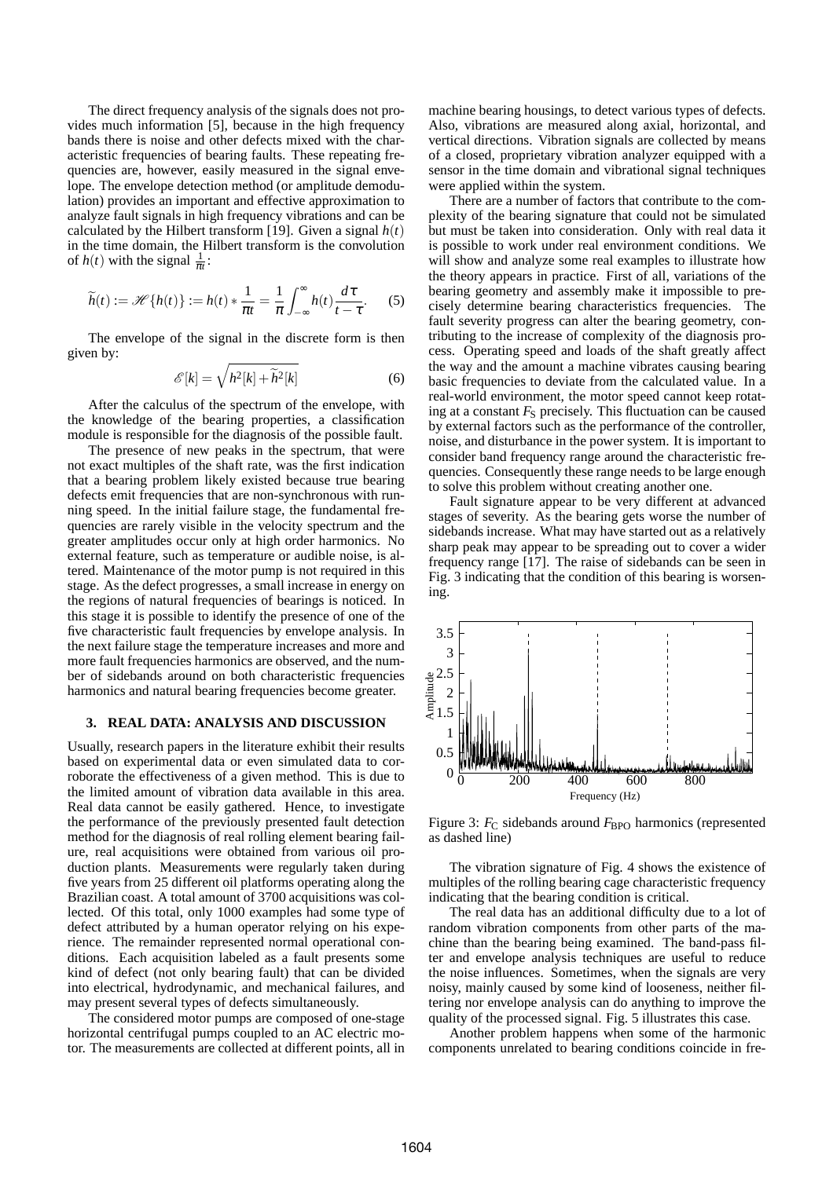The direct frequency analysis of the signals does not provides much information [5], because in the high frequency bands there is noise and other defects mixed with the characteristic frequencies of bearing faults. These repeating frequencies are, however, easily measured in the signal envelope. The envelope detection method (or amplitude demodulation) provides an important and effective approximation to analyze fault signals in high frequency vibrations and can be calculated by the Hilbert transform [19]. Given a signal  $h(t)$ in the time domain, the Hilbert transform is the convolution of  $h(t)$  with the signal  $\frac{1}{\pi t}$ :

$$
\widetilde{h}(t) := \mathscr{H}\{h(t)\} := h(t) * \frac{1}{\pi t} = \frac{1}{\pi} \int_{-\infty}^{\infty} h(t) \frac{d\tau}{t - \tau}.
$$
 (5)

The envelope of the signal in the discrete form is then given by:

$$
\mathscr{E}[k] = \sqrt{h^2[k] + \widetilde{h}^2[k]}
$$
 (6)

After the calculus of the spectrum of the envelope, with the knowledge of the bearing properties, a classification module is responsible for the diagnosis of the possible fault.

The presence of new peaks in the spectrum, that were not exact multiples of the shaft rate, was the first indication that a bearing problem likely existed because true bearing defects emit frequencies that are non-synchronous with running speed. In the initial failure stage, the fundamental frequencies are rarely visible in the velocity spectrum and the greater amplitudes occur only at high order harmonics. No external feature, such as temperature or audible noise, is altered. Maintenance of the motor pump is not required in this stage. As the defect progresses, a small increase in energy on the regions of natural frequencies of bearings is noticed. In this stage it is possible to identify the presence of one of the five characteristic fault frequencies by envelope analysis. In the next failure stage the temperature increases and more and more fault frequencies harmonics are observed, and the number of sidebands around on both characteristic frequencies harmonics and natural bearing frequencies become greater.

### **3. REAL DATA: ANALYSIS AND DISCUSSION**

Usually, research papers in the literature exhibit their results based on experimental data or even simulated data to corroborate the effectiveness of a given method. This is due to the limited amount of vibration data available in this area. Real data cannot be easily gathered. Hence, to investigate the performance of the previously presented fault detection method for the diagnosis of real rolling element bearing failure, real acquisitions were obtained from various oil production plants. Measurements were regularly taken during five years from 25 different oil platforms operating along the Brazilian coast. A total amount of 3700 acquisitions was collected. Of this total, only 1000 examples had some type of defect attributed by a human operator relying on his experience. The remainder represented normal operational conditions. Each acquisition labeled as a fault presents some kind of defect (not only bearing fault) that can be divided into electrical, hydrodynamic, and mechanical failures, and may present several types of defects simultaneously.

The considered motor pumps are composed of one-stage horizontal centrifugal pumps coupled to an AC electric motor. The measurements are collected at different points, all in machine bearing housings, to detect various types of defects. Also, vibrations are measured along axial, horizontal, and vertical directions. Vibration signals are collected by means of a closed, proprietary vibration analyzer equipped with a sensor in the time domain and vibrational signal techniques were applied within the system.

There are a number of factors that contribute to the complexity of the bearing signature that could not be simulated but must be taken into consideration. Only with real data it is possible to work under real environment conditions. We will show and analyze some real examples to illustrate how the theory appears in practice. First of all, variations of the bearing geometry and assembly make it impossible to precisely determine bearing characteristics frequencies. The fault severity progress can alter the bearing geometry, contributing to the increase of complexity of the diagnosis process. Operating speed and loads of the shaft greatly affect the way and the amount a machine vibrates causing bearing basic frequencies to deviate from the calculated value. In a real-world environment, the motor speed cannot keep rotating at a constant  $F<sub>S</sub>$  precisely. This fluctuation can be caused by external factors such as the performance of the controller, noise, and disturbance in the power system. It is important to consider band frequency range around the characteristic frequencies. Consequently these range needs to be large enough to solve this problem without creating another one.

Fault signature appear to be very different at advanced stages of severity. As the bearing gets worse the number of sidebands increase. What may have started out as a relatively sharp peak may appear to be spreading out to cover a wider frequency range [17]. The raise of sidebands can be seen in Fig. 3 indicating that the condition of this bearing is worsening.



Figure 3: *F<sub>C</sub>* sidebands around *F*<sub>BPO</sub> harmonics (represented as dashed line)

The vibration signature of Fig. 4 shows the existence of multiples of the rolling bearing cage characteristic frequency indicating that the bearing condition is critical.

The real data has an additional difficulty due to a lot of random vibration components from other parts of the machine than the bearing being examined. The band-pass filter and envelope analysis techniques are useful to reduce the noise influences. Sometimes, when the signals are very noisy, mainly caused by some kind of looseness, neither filtering nor envelope analysis can do anything to improve the quality of the processed signal. Fig. 5 illustrates this case.

Another problem happens when some of the harmonic components unrelated to bearing conditions coincide in fre-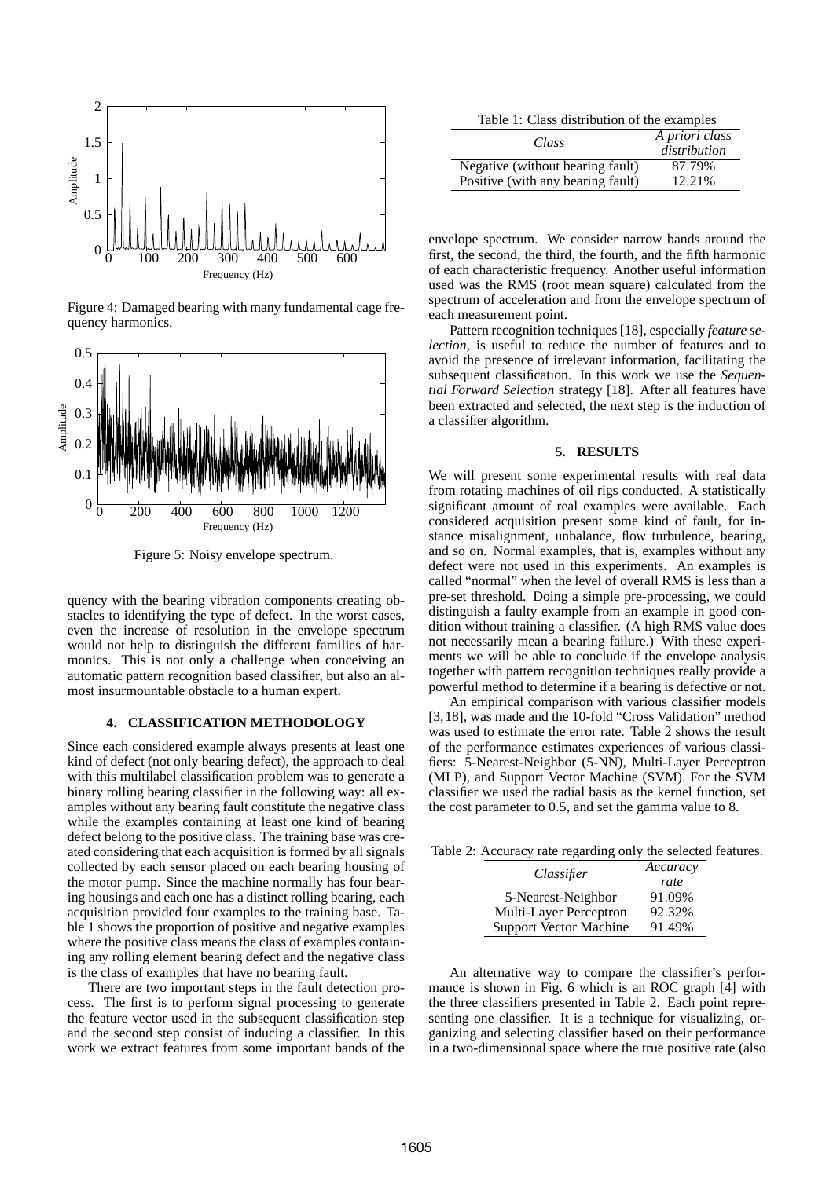

Figure 4: Damaged bearing with many fundamental cage frequency harmonics.



Figure 5: Noisy envelope spectrum.

quency with the bearing vibration components creating obstacles to identifying the type of defect. In the worst cases, even the increase of resolution in the envelope spectrum would not help to distinguish the different families of harmonics. This is not only a challenge when conceiving an automatic pattern recognition based classifier, but also an almost insurmountable obstacle to a human expert.

# **4. CLASSIFICATION METHODOLOGY**

Since each considered example always presents at least one kind of defect (not only bearing defect), the approach to deal with this multilabel classification problem was to generate a binary rolling bearing classifier in the following way: all examples without any bearing fault constitute the negative class while the examples containing at least one kind of bearing defect belong to the positive class. The training base was created considering that each acquisition is formed by all signals collected by each sensor placed on each bearing housing of the motor pump. Since the machine normally has four bearing housings and each one has a distinct rolling bearing, each acquisition provided four examples to the training base. Table 1 shows the proportion of positive and negative examples where the positive class means the class of examples containing any rolling element bearing defect and the negative class is the class of examples that have no bearing fault.

There are two important steps in the fault detection process. The first is to perform signal processing to generate the feature vector used in the subsequent classification step and the second step consist of inducing a classifier. In this work we extract features from some important bands of the

Table 1: Class distribution of the examples

| Class                             | A priori class<br>distribution |
|-----------------------------------|--------------------------------|
| Negative (without bearing fault)  | 87.79%                         |
| Positive (with any bearing fault) | 12.21%                         |

envelope spectrum. We consider narrow bands around the first, the second, the third, the fourth, and the fifth harmonic of each characteristic frequency. Another useful information used was the RMS (root mean square) calculated from the spectrum of acceleration and from the envelope spectrum of each measurement point.

Pattern recognition techniques [18], especially *feature selection*, is useful to reduce the number of features and to avoid the presence of irrelevant information, facilitating the subsequent classification. In this work we use the *Sequential Forward Selection* strategy [18]. After all features have been extracted and selected, the next step is the induction of a classifier algorithm.

#### **5. RESULTS**

We will present some experimental results with real data from rotating machines of oil rigs conducted. A statistically significant amount of real examples were available. Each considered acquisition present some kind of fault, for instance misalignment, unbalance, flow turbulence, bearing, and so on. Normal examples, that is, examples without any defect were not used in this experiments. An examples is called "normal" when the level of overall RMS is less than a pre-set threshold. Doing a simple pre-processing, we could distinguish a faulty example from an example in good condition without training a classifier. (A high RMS value does not necessarily mean a bearing failure.) With these experiments we will be able to conclude if the envelope analysis together with pattern recognition techniques really provide a powerful method to determine if a bearing is defective or not.

An empirical comparison with various classifier models [3,18], was made and the 10-fold "Cross Validation" method was used to estimate the error rate. Table 2 shows the result of the performance estimates experiences of various classifiers: 5-Nearest-Neighbor (5-NN), Multi-Layer Perceptron (MLP), and Support Vector Machine (SVM). For the SVM classifier we used the radial basis as the kernel function, set the cost parameter to 0.5, and set the gamma value to 8.

Table 2: Accuracy rate regarding only the selected features.

| Classifier                    | Accuracy |
|-------------------------------|----------|
|                               | rate     |
| 5-Nearest-Neighbor            | 91.09%   |
| Multi-Layer Perceptron        | 92.32%   |
| <b>Support Vector Machine</b> | 91.49%   |

An alternative way to compare the classifier's performance is shown in Fig. 6 which is an ROC graph [4] with the three classifiers presented in Table 2. Each point representing one classifier. It is a technique for visualizing, organizing and selecting classifier based on their performance in a two-dimensional space where the true positive rate (also